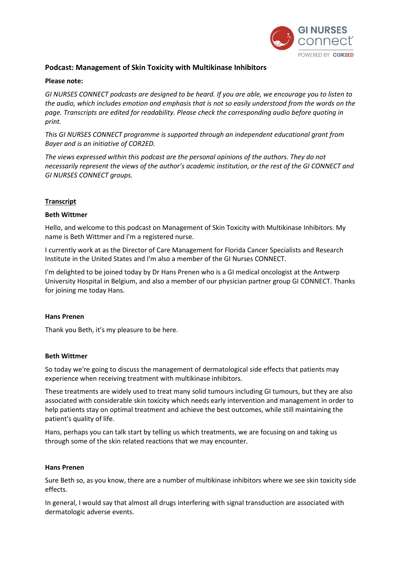

# **Podcast: Management of Skin Toxicity with Multikinase Inhibitors**

### **Please note:**

GI NURSES CONNECT podcasts are designed to be heard. If you are able, we encourage you to listen to the audio, which includes emotion and emphasis that is not so easily understood from the words on the *page. Transcripts are edited for readability. Please check the corresponding audio before quoting in print.*

*This GI NURSES CONNECT programme is supported through an independent educational grant from Bayer and is an initiative of COR2ED.*

*The views expressed within this podcast are the personal opinions of the authors. They do not necessarily represent the views of the author's academic institution, or the rest of the GI CONNECT and GI NURSES CONNECT groups.*

### **Transcript**

### **Beth Wittmer**

Hello, and welcome to this podcast on Management of Skin Toxicity with Multikinase Inhibitors. My name is Beth Wittmer and I'm a registered nurse.

I currently work at as the Director of Care Management for Florida Cancer Specialists and Research Institute in the United States and I'm also a member of the GI Nurses CONNECT.

I'm delighted to be joined today by Dr Hans Prenen who is a GI medical oncologist at the Antwerp University Hospital in Belgium, and also a member of our physician partner group GI CONNECT. Thanks for joining me today Hans.

### **Hans Prenen**

Thank you Beth, it's my pleasure to be here.

### **Beth Wittmer**

So today we're going to discuss the management of dermatological side effects that patients may experience when receiving treatment with multikinase inhibitors.

These treatments are widely used to treat many solid tumours including GI tumours, but they are also associated with considerable skin toxicity which needs early intervention and management in order to help patients stay on optimal treatment and achieve the best outcomes, while still maintaining the patient's quality of life.

Hans, perhaps you can talk start by telling us which treatments, we are focusing on and taking us through some of the skin related reactions that we may encounter.

### **Hans Prenen**

Sure Beth so, as you know, there are a number of multikinase inhibitors where we see skin toxicity side effects.

In general, I would say that almost all drugs interfering with signal transduction are associated with dermatologic adverse events.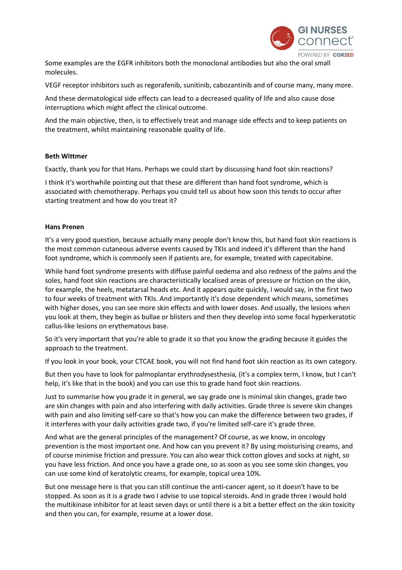

Some examples are the EGFR inhibitors both the monoclonal antibodies but also the oral small molecules.

VEGF receptor inhibitors such as regorafenib, sunitinib, cabozantinib and of course many, many more.

And these dermatological side effects can lead to a decreased quality of life and also cause dose interruptions which might affect the clinical outcome.

And the main objective, then, is to effectively treat and manage side effects and to keep patients on the treatment, whilst maintaining reasonable quality of life.

### **Beth Wittmer**

Exactly, thank you for that Hans. Perhaps we could start by discussing hand foot skin reactions?

I think it's worthwhile pointing out that these are different than hand foot syndrome, which is associated with chemotherapy. Perhaps you could tell us about how soon this tends to occur after starting treatment and how do you treat it?

### **Hans Prenen**

It's a very good question, because actually many people don't know this, but hand foot skin reactions is the most common cutaneous adverse events caused by TKIs and indeed it's different than the hand foot syndrome, which is commonly seen if patients are, for example, treated with capecitabine.

While hand foot syndrome presents with diffuse painful oedema and also redness of the palms and the soles, hand foot skin reactions are characteristically localised areas of pressure or friction on the skin, for example, the heels, metatarsal heads etc. And it appears quite quickly, I would say, in the first two to four weeks of treatment with TKIs. And importantly it's dose dependent which means, sometimes with higher doses, you can see more skin effects and with lower doses. And usually, the lesions when you look at them, they begin as bullae or blisters and then they develop into some focal hyperkeratotic callus-like lesions on erythematous base.

So it's very important that you're able to grade it so that you know the grading because it guides the approach to the treatment.

If you look in your book, your CTCAE book, you will not find hand foot skin reaction as its own category.

But then you have to look for palmoplantar erythrodysesthesia, (it's a complex term, I know, but I can't help, it's like that in the book) and you can use this to grade hand foot skin reactions.

Just to summarise how you grade it in general, we say grade one is minimal skin changes, grade two are skin changes with pain and also interfering with daily activities. Grade three is severe skin changes with pain and also limiting self-care so that's how you can make the difference between two grades, if it interferes with your daily activities grade two, if you're limited self-care it's grade three.

And what are the general principles of the management? Of course, as we know, in oncology prevention is the most important one. And how can you prevent it? By using moisturising creams, and of course minimise friction and pressure. You can also wear thick cotton gloves and socks at night, so you have less friction. And once you have a grade one, so as soon as you see some skin changes, you can use some kind of keratolytic creams, for example, topical urea 10%.

But one message here is that you can still continue the anti-cancer agent, so it doesn't have to be stopped. As soon as it is a grade two I advise to use topical steroids. And in grade three I would hold the multikinase inhibitor for at least seven days or until there is a bit a better effect on the skin toxicity and then you can, for example, resume at a lower dose.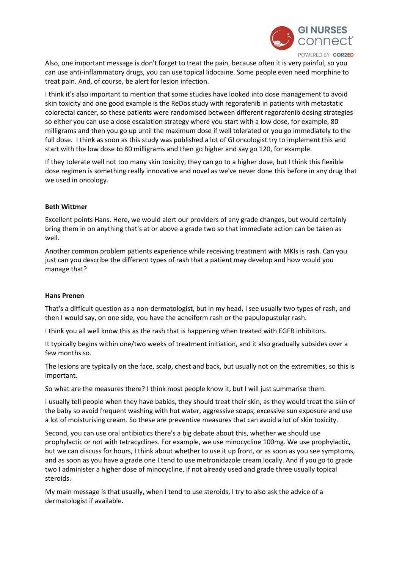

Also, one important message is don't forget to treat the pain, because often it is very painful, so you can use anti-inflammatory drugs, you can use topical lidocaine. Some people even need morphine to treat pain. And, of course, be alert for lesion infection.

I think it's also important to mention that some studies have looked into dose management to avoid skin toxicity and one good example is the ReDos study with regorafenib in patients with metastatic colorectal cancer, so these patients were randomised between different regorafenib dosing strategies so either you can use a dose escalation strategy where you start with a low dose, for example, 80 milligrams and then you go up until the maximum dose if well tolerated or you go immediately to the full dose. I think as soon as this study was published a lot of GI oncologist try to implement this and start with the low dose to 80 milligrams and then go higher and say go 120, for example.

If they tolerate well not too many skin toxicity, they can go to a higher dose, but I think this flexible dose regimen is something really innovative and novel as we've never done this before in any drug that we used in oncology.

# **Beth Wittmer**

Excellent points Hans. Here, we would alert our providers of any grade changes, but would certainly bring them in on anything that's at or above a grade two so that immediate action can be taken as well.

Another common problem patients experience while receiving treatment with MKIs is rash. Can you just can you describe the different types of rash that a patient may develop and how would you manage that?

# **Hans Prenen**

That's a difficult question as a non-dermatologist, but in my head, I see usually two types of rash, and then I would say, on one side, you have the acneiform rash or the papulopustular rash.

I think you all well know this as the rash that is happening when treated with EGFR inhibitors.

It typically begins within one/two weeks of treatment initiation, and it also gradually subsides over a few months so.

The lesions are typically on the face, scalp, chest and back, but usually not on the extremities, so this is important.

So what are the measures there? I think most people know it, but I will just summarise them.

I usually tell people when they have babies, they should treat their skin, as they would treat the skin of the baby so avoid frequent washing with hot water, aggressive soaps, excessive sun exposure and use a lot of moisturising cream. So these are preventive measures that can avoid a lot of skin toxicity.

Second, you can use oral antibiotics there's a big debate about this, whether we should use prophylactic or not with tetracyclines. For example, we use minocycline 100mg. We use prophylactic, but we can discuss for hours, I think about whether to use it up front, or as soon as you see symptoms, and as soon as you have a grade one I tend to use metronidazole cream locally. And if you go to grade two I administer a higher dose of minocycline, if not already used and grade three usually topical steroids.

My main message is that usually, when I tend to use steroids, I try to also ask the advice of a dermatologist if available.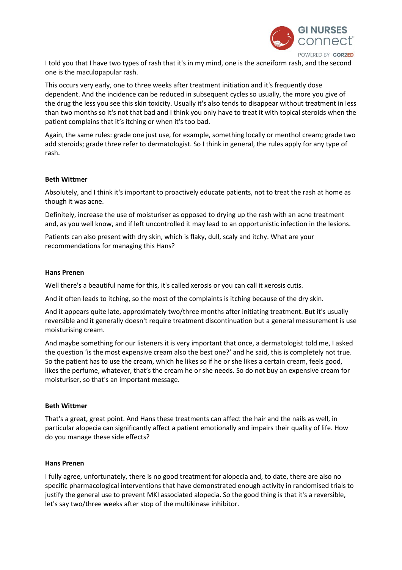

I told you that I have two types of rash that it's in my mind, one is the acneiform rash, and the second one is the maculopapular rash.

This occurs very early, one to three weeks after treatment initiation and it's frequently dose dependent. And the incidence can be reduced in subsequent cycles so usually, the more you give of the drug the less you see this skin toxicity. Usually it's also tends to disappear without treatment in less than two months so it's not that bad and I think you only have to treat it with topical steroids when the patient complains that it's itching or when it's too bad.

Again, the same rules: grade one just use, for example, something locally or menthol cream; grade two add steroids; grade three refer to dermatologist. So I think in general, the rules apply for any type of rash.

# **Beth Wittmer**

Absolutely, and I think it's important to proactively educate patients, not to treat the rash at home as though it was acne.

Definitely, increase the use of moisturiser as opposed to drying up the rash with an acne treatment and, as you well know, and if left uncontrolled it may lead to an opportunistic infection in the lesions.

Patients can also present with dry skin, which is flaky, dull, scaly and itchy. What are your recommendations for managing this Hans?

### **Hans Prenen**

Well there's a beautiful name for this, it's called xerosis or you can call it xerosis cutis.

And it often leads to itching, so the most of the complaints is itching because of the dry skin.

And it appears quite late, approximately two/three months after initiating treatment. But it's usually reversible and it generally doesn't require treatment discontinuation but a general measurement is use moisturising cream.

And maybe something for our listeners it is very important that once, a dermatologist told me, I asked the question 'is the most expensive cream also the best one?' and he said, this is completely not true. So the patient has to use the cream, which he likes so if he or she likes a certain cream, feels good, likes the perfume, whatever, that's the cream he or she needs. So do not buy an expensive cream for moisturiser, so that's an important message.

# **Beth Wittmer**

That's a great, great point. And Hans these treatments can affect the hair and the nails as well, in particular alopecia can significantly affect a patient emotionally and impairs their quality of life. How do you manage these side effects?

### **Hans Prenen**

I fully agree, unfortunately, there is no good treatment for alopecia and, to date, there are also no specific pharmacological interventions that have demonstrated enough activity in randomised trials to justify the general use to prevent MKI associated alopecia. So the good thing is that it's a reversible, let's say two/three weeks after stop of the multikinase inhibitor.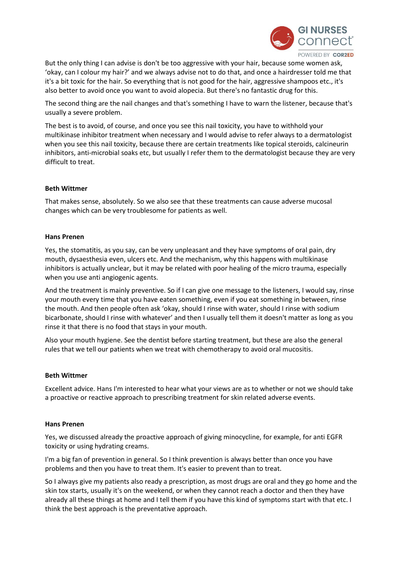

But the only thing I can advise is don't be too aggressive with your hair, because some women ask, 'okay, can I colour my hair?' and we always advise not to do that, and once a hairdresser told me that it's a bit toxic for the hair. So everything that is not good for the hair, aggressive shampoos etc., it's also better to avoid once you want to avoid alopecia. But there's no fantastic drug for this.

The second thing are the nail changes and that's something I have to warn the listener, because that's usually a severe problem.

The best is to avoid, of course, and once you see this nail toxicity, you have to withhold your multikinase inhibitor treatment when necessary and I would advise to refer always to a dermatologist when you see this nail toxicity, because there are certain treatments like topical steroids, calcineurin inhibitors, anti-microbial soaks etc, but usually I refer them to the dermatologist because they are very difficult to treat.

### **Beth Wittmer**

That makes sense, absolutely. So we also see that these treatments can cause adverse mucosal changes which can be very troublesome for patients as well.

### **Hans Prenen**

Yes, the stomatitis, as you say, can be very unpleasant and they have symptoms of oral pain, dry mouth, dysaesthesia even, ulcers etc. And the mechanism, why this happens with multikinase inhibitors is actually unclear, but it may be related with poor healing of the micro trauma, especially when you use anti angiogenic agents.

And the treatment is mainly preventive. So if I can give one message to the listeners, I would say, rinse your mouth every time that you have eaten something, even if you eat something in between, rinse the mouth. And then people often ask 'okay, should I rinse with water, should I rinse with sodium bicarbonate, should I rinse with whatever' and then I usually tell them it doesn't matter as long as you rinse it that there is no food that stays in your mouth.

Also your mouth hygiene. See the dentist before starting treatment, but these are also the general rules that we tell our patients when we treat with chemotherapy to avoid oral mucositis.

### **Beth Wittmer**

Excellent advice. Hans I'm interested to hear what your views are as to whether or not we should take a proactive or reactive approach to prescribing treatment for skin related adverse events.

### **Hans Prenen**

Yes, we discussed already the proactive approach of giving minocycline, for example, for anti EGFR toxicity or using hydrating creams.

I'm a big fan of prevention in general. So I think prevention is always better than once you have problems and then you have to treat them. It's easier to prevent than to treat.

So I always give my patients also ready a prescription, as most drugs are oral and they go home and the skin tox starts, usually it's on the weekend, or when they cannot reach a doctor and then they have already all these things at home and I tell them if you have this kind of symptoms start with that etc. I think the best approach is the preventative approach.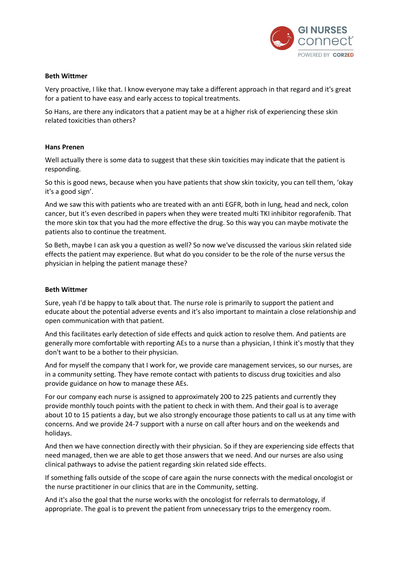

### **Beth Wittmer**

Very proactive, I like that. I know everyone may take a different approach in that regard and it's great for a patient to have easy and early access to topical treatments.

So Hans, are there any indicators that a patient may be at a higher risk of experiencing these skin related toxicities than others?

### **Hans Prenen**

Well actually there is some data to suggest that these skin toxicities may indicate that the patient is responding.

So this is good news, because when you have patients that show skin toxicity, you can tell them, 'okay it's a good sign'.

And we saw this with patients who are treated with an anti EGFR, both in lung, head and neck, colon cancer, but it's even described in papers when they were treated multi TKI inhibitor regorafenib. That the more skin tox that you had the more effective the drug. So this way you can maybe motivate the patients also to continue the treatment.

So Beth, maybe I can ask you a question as well? So now we've discussed the various skin related side effects the patient may experience. But what do you consider to be the role of the nurse versus the physician in helping the patient manage these?

### **Beth Wittmer**

Sure, yeah I'd be happy to talk about that. The nurse role is primarily to support the patient and educate about the potential adverse events and it's also important to maintain a close relationship and open communication with that patient.

And this facilitates early detection of side effects and quick action to resolve them. And patients are generally more comfortable with reporting AEs to a nurse than a physician, I think it's mostly that they don't want to be a bother to their physician.

And for myself the company that I work for, we provide care management services, so our nurses, are in a community setting. They have remote contact with patients to discuss drug toxicities and also provide guidance on how to manage these AEs.

For our company each nurse is assigned to approximately 200 to 225 patients and currently they provide monthly touch points with the patient to check in with them. And their goal is to average about 10 to 15 patients a day, but we also strongly encourage those patients to call us at any time with concerns. And we provide 24-7 support with a nurse on call after hours and on the weekends and holidays.

And then we have connection directly with their physician. So if they are experiencing side effects that need managed, then we are able to get those answers that we need. And our nurses are also using clinical pathways to advise the patient regarding skin related side effects.

If something falls outside of the scope of care again the nurse connects with the medical oncologist or the nurse practitioner in our clinics that are in the Community, setting.

And it's also the goal that the nurse works with the oncologist for referrals to dermatology, if appropriate. The goal is to prevent the patient from unnecessary trips to the emergency room.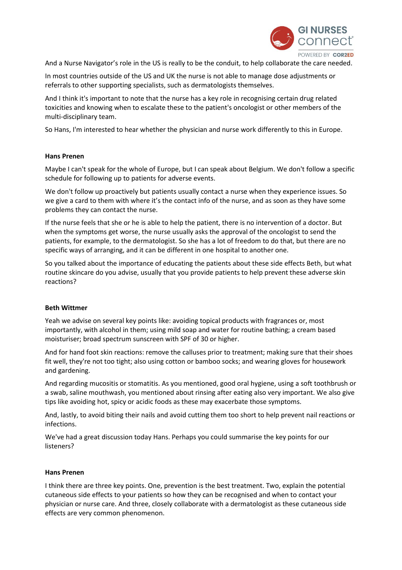

And a Nurse Navigator's role in the US is really to be the conduit, to help collaborate the care needed.

In most countries outside of the US and UK the nurse is not able to manage dose adjustments or referrals to other supporting specialists, such as dermatologists themselves.

And I think it's important to note that the nurse has a key role in recognising certain drug related toxicities and knowing when to escalate these to the patient's oncologist or other members of the multi-disciplinary team.

So Hans, I'm interested to hear whether the physician and nurse work differently to this in Europe.

# **Hans Prenen**

Maybe I can't speak for the whole of Europe, but I can speak about Belgium. We don't follow a specific schedule for following up to patients for adverse events.

We don't follow up proactively but patients usually contact a nurse when they experience issues. So we give a card to them with where it's the contact info of the nurse, and as soon as they have some problems they can contact the nurse.

If the nurse feels that she or he is able to help the patient, there is no intervention of a doctor. But when the symptoms get worse, the nurse usually asks the approval of the oncologist to send the patients, for example, to the dermatologist. So she has a lot of freedom to do that, but there are no specific ways of arranging, and it can be different in one hospital to another one.

So you talked about the importance of educating the patients about these side effects Beth, but what routine skincare do you advise, usually that you provide patients to help prevent these adverse skin reactions?

# **Beth Wittmer**

Yeah we advise on several key points like: avoiding topical products with fragrances or, most importantly, with alcohol in them; using mild soap and water for routine bathing; a cream based moisturiser; broad spectrum sunscreen with SPF of 30 or higher.

And for hand foot skin reactions: remove the calluses prior to treatment; making sure that their shoes fit well, they're not too tight; also using cotton or bamboo socks; and wearing gloves for housework and gardening.

And regarding mucositis or stomatitis. As you mentioned, good oral hygiene, using a soft toothbrush or a swab, saline mouthwash, you mentioned about rinsing after eating also very important. We also give tips like avoiding hot, spicy or acidic foods as these may exacerbate those symptoms.

And, lastly, to avoid biting their nails and avoid cutting them too short to help prevent nail reactions or infections.

We've had a great discussion today Hans. Perhaps you could summarise the key points for our listeners?

# **Hans Prenen**

I think there are three key points. One, prevention is the best treatment. Two, explain the potential cutaneous side effects to your patients so how they can be recognised and when to contact your physician or nurse care. And three, closely collaborate with a dermatologist as these cutaneous side effects are very common phenomenon.